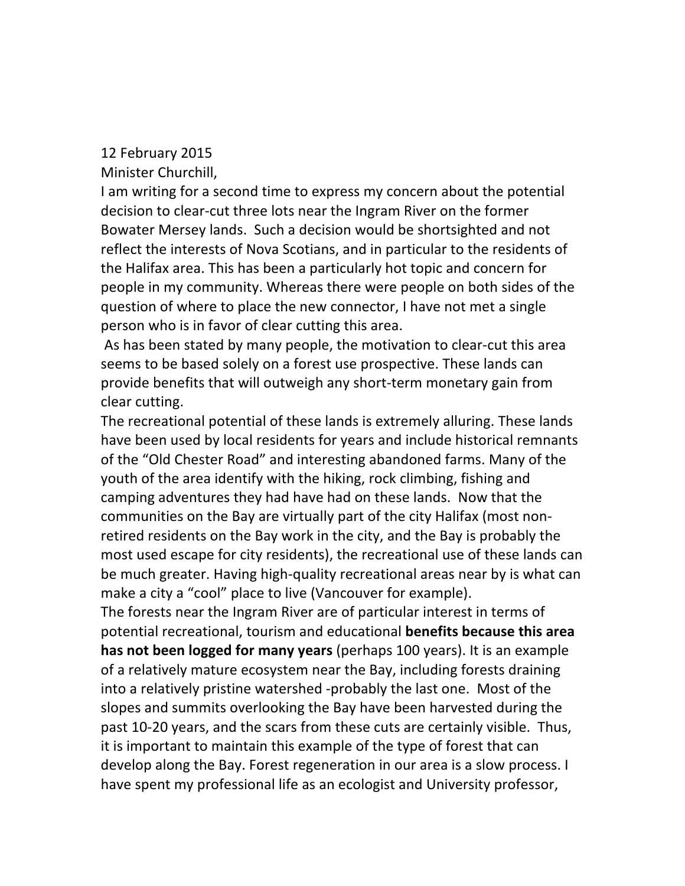## 12 February 2015

Minister Churchill,

I am writing for a second time to express my concern about the potential decision to clear-cut three lots near the Ingram River on the former Bowater Mersey lands. Such a decision would be shortsighted and not reflect the interests of Nova Scotians, and in particular to the residents of the Halifax area. This has been a particularly hot topic and concern for people in my community. Whereas there were people on both sides of the question of where to place the new connector, I have not met a single person who is in favor of clear cutting this area.

As has been stated by many people, the motivation to clear-cut this area seems to be based solely on a forest use prospective. These lands can provide benefits that will outweigh any short-term monetary gain from clear cutting.

The recreational potential of these lands is extremely alluring. These lands have been used by local residents for years and include historical remnants of the "Old Chester Road" and interesting abandoned farms. Many of the youth of the area identify with the hiking, rock climbing, fishing and camping adventures they had have had on these lands. Now that the communities on the Bay are virtually part of the city Halifax (most nonretired residents on the Bay work in the city, and the Bay is probably the most used escape for city residents), the recreational use of these lands can be much greater. Having high-quality recreational areas near by is what can make a city a "cool" place to live (Vancouver for example).

The forests near the Ingram River are of particular interest in terms of potential recreational, tourism and educational **benefits because this area has not been logged for many years** (perhaps 100 years). It is an example of a relatively mature ecosystem near the Bay, including forests draining into a relatively pristine watershed -probably the last one. Most of the slopes and summits overlooking the Bay have been harvested during the past 10-20 years, and the scars from these cuts are certainly visible. Thus, it is important to maintain this example of the type of forest that can develop along the Bay. Forest regeneration in our area is a slow process. I have spent my professional life as an ecologist and University professor,